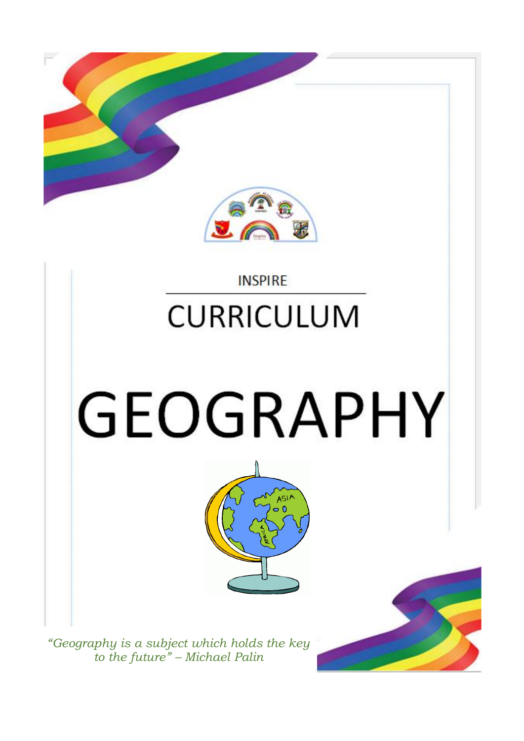

#### **INSPIRE**

### **CURRICULUM**

# **GEOGRAPHY**



*"Geography is a subject which holds the key to the future" – Michael Palin*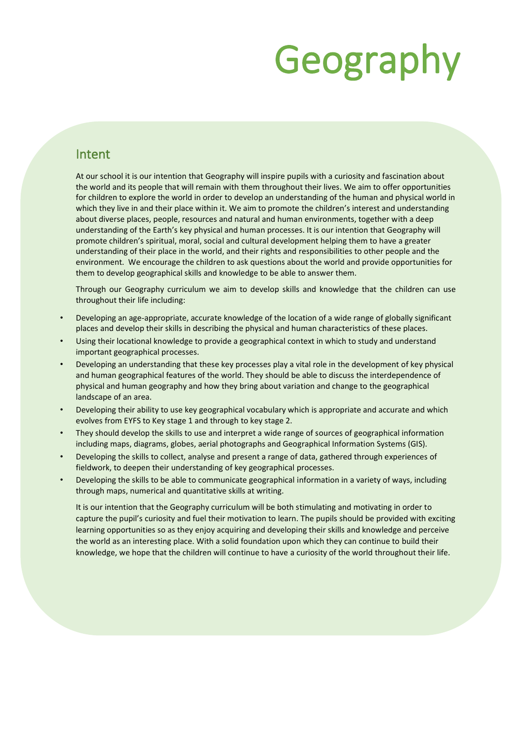### Geography

#### Intent

At our school it is our intention that Geography will inspire pupils with a curiosity and fascination about the world and its people that will remain with them throughout their lives. We aim to offer opportunities for children to explore the world in order to develop an understanding of the human and physical world in which they live in and their place within it. We aim to promote the children's interest and understanding about diverse places, people, resources and natural and human environments, together with a deep understanding of the Earth's key physical and human processes. It is our intention that Geography will promote children's spiritual, moral, social and cultural development helping them to have a greater understanding of their place in the world, and their rights and responsibilities to other people and the environment. We encourage the children to ask questions about the world and provide opportunities for them to develop geographical skills and knowledge to be able to answer them.

Through our Geography curriculum we aim to develop skills and knowledge that the children can use throughout their life including:

- Developing an age-appropriate, accurate knowledge of the location of a wide range of globally significant places and develop their skills in describing the physical and human characteristics of these places.
- Using their locational knowledge to provide a geographical context in which to study and understand important geographical processes.
- Developing an understanding that these key processes play a vital role in the development of key physical and human geographical features of the world. They should be able to discuss the interdependence of physical and human geography and how they bring about variation and change to the geographical landscape of an area.
- Developing their ability to use key geographical vocabulary which is appropriate and accurate and which evolves from EYFS to Key stage 1 and through to key stage 2.
- They should develop the skills to use and interpret a wide range of sources of geographical information including maps, diagrams, globes, aerial photographs and Geographical Information Systems (GIS).
- Developing the skills to collect, analyse and present a range of data, gathered through experiences of fieldwork, to deepen their understanding of key geographical processes.
- Developing the skills to be able to communicate geographical information in a variety of ways, including through maps, numerical and quantitative skills at writing.

It is our intention that the Geography curriculum will be both stimulating and motivating in order to capture the pupil's curiosity and fuel their motivation to learn. The pupils should be provided with exciting learning opportunities so as they enjoy acquiring and developing their skills and knowledge and perceive the world as an interesting place. With a solid foundation upon which they can continue to build their knowledge, we hope that the children will continue to have a curiosity of the world throughout their life.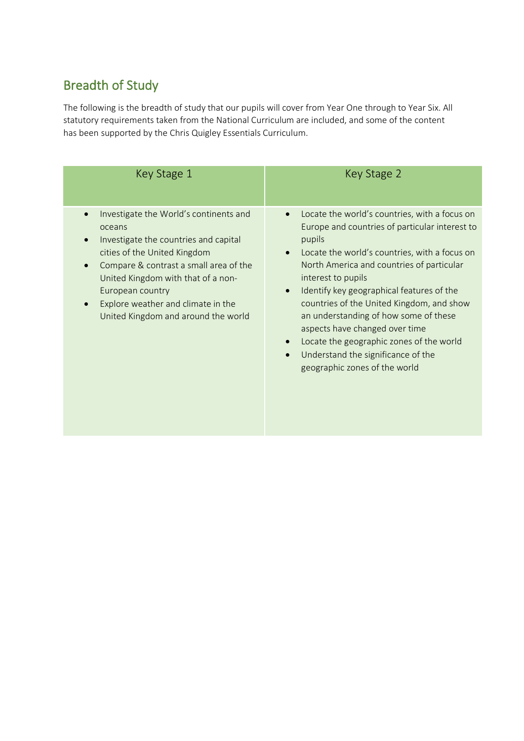#### Breadth of Study

The following is the breadth of study that our pupils will cover from Year One through to Year Six. All statutory requirements taken from the National Curriculum are included, and some of the content has been supported by the Chris Quigley Essentials Curriculum.

| Key Stage 1                                                                                                                                                                                                                                                                                                                                       | Key Stage 2                                                                                                                                                                                                                                                                                                                                                                                                                                                                                                                                                               |  |  |  |  |  |  |
|---------------------------------------------------------------------------------------------------------------------------------------------------------------------------------------------------------------------------------------------------------------------------------------------------------------------------------------------------|---------------------------------------------------------------------------------------------------------------------------------------------------------------------------------------------------------------------------------------------------------------------------------------------------------------------------------------------------------------------------------------------------------------------------------------------------------------------------------------------------------------------------------------------------------------------------|--|--|--|--|--|--|
| Investigate the World's continents and<br>$\bullet$<br>oceans<br>Investigate the countries and capital<br>cities of the United Kingdom<br>Compare & contrast a small area of the<br>$\bullet$<br>United Kingdom with that of a non-<br>European country<br>Explore weather and climate in the<br>$\bullet$<br>United Kingdom and around the world | Locate the world's countries, with a focus on<br>$\bullet$<br>Europe and countries of particular interest to<br>pupils<br>Locate the world's countries, with a focus on<br>$\bullet$<br>North America and countries of particular<br>interest to pupils<br>Identify key geographical features of the<br>$\bullet$<br>countries of the United Kingdom, and show<br>an understanding of how some of these<br>aspects have changed over time<br>Locate the geographic zones of the world<br>Understand the significance of the<br>$\bullet$<br>geographic zones of the world |  |  |  |  |  |  |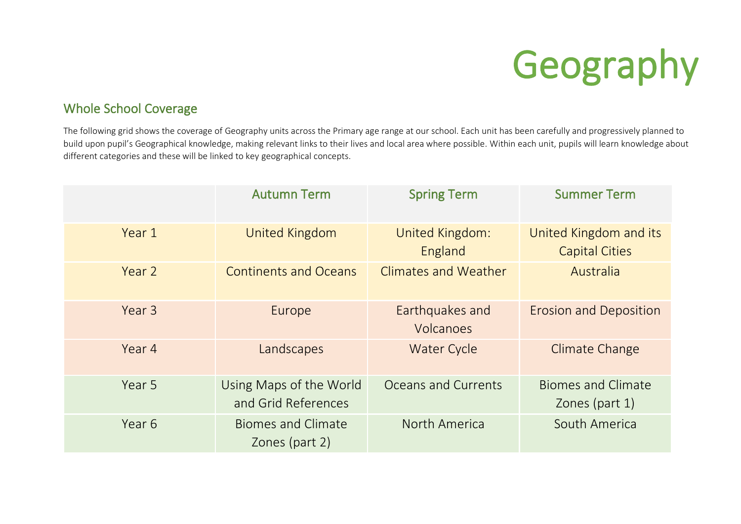## Geography

#### Whole School Coverage

The following grid shows the coverage of Geography units across the Primary age range at our school. Each unit has been carefully and progressively planned to build upon pupil's Geographical knowledge, making relevant links to their lives and local area where possible. Within each unit, pupils will learn knowledge about different categories and these will be linked to key geographical concepts.

|        | <b>Autumn Term</b>                             | <b>Spring Term</b>           | <b>Summer Term</b>                              |
|--------|------------------------------------------------|------------------------------|-------------------------------------------------|
| Year 1 | United Kingdom                                 | United Kingdom:<br>England   | United Kingdom and its<br><b>Capital Cities</b> |
| Year 2 | <b>Continents and Oceans</b>                   | <b>Climates and Weather</b>  | Australia                                       |
| Year 3 | Europe                                         | Earthquakes and<br>Volcanoes | <b>Erosion and Deposition</b>                   |
| Year 4 | Landscapes                                     | <b>Water Cycle</b>           | <b>Climate Change</b>                           |
| Year 5 | Using Maps of the World<br>and Grid References | Oceans and Currents          | <b>Biomes and Climate</b><br>Zones (part 1)     |
| Year 6 | <b>Biomes and Climate</b><br>Zones (part 2)    | North America                | South America                                   |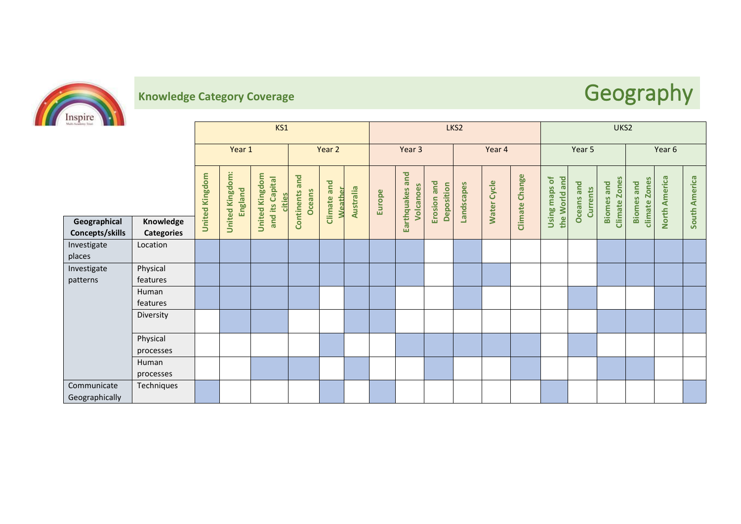

### **Knowledge Category Coverage** *Category Coverage* **<b>Geography**

| Multi-Academy Trust                              |                                  | KS1                   |                                   |                                                    |                                           |                           | LKS2      |        |                              |                           |            |                    | UKS2           |                                   |                                      |                                           |                                       |                      |               |
|--------------------------------------------------|----------------------------------|-----------------------|-----------------------------------|----------------------------------------------------|-------------------------------------------|---------------------------|-----------|--------|------------------------------|---------------------------|------------|--------------------|----------------|-----------------------------------|--------------------------------------|-------------------------------------------|---------------------------------------|----------------------|---------------|
|                                                  |                                  | Year 1                |                                   | Year 2                                             |                                           | Year 3                    |           |        | Year 4                       |                           |            | Year 5             |                |                                   | Year 6                               |                                           |                                       |                      |               |
|                                                  |                                  | <b>United Kingdom</b> | <b>United Kingdom:</b><br>England | <b>United Kingdom</b><br>and its Capital<br>cities | and<br><b>Oceans</b><br><b>Continents</b> | and<br>Weather<br>Climate | Australia | Europe | Earthquakes and<br>Volcanoes | Erosion and<br>Deposition | Landscapes | <b>Water Cycle</b> | Climate Change | Using maps of<br>and<br>the World | <b>Oceans</b> and<br><b>Currents</b> | <b>Climate Zones</b><br><b>Biomes</b> and | climate Zones<br>and<br><b>Biomes</b> | <b>North America</b> | South America |
| Geographical<br>Concepts/skills                  | Knowledge<br><b>Categories</b>   |                       |                                   |                                                    |                                           |                           |           |        |                              |                           |            |                    |                |                                   |                                      |                                           |                                       |                      |               |
| Investigate<br>places<br>Investigate<br>patterns | Location<br>Physical<br>features |                       |                                   |                                                    |                                           |                           |           |        |                              |                           |            |                    |                |                                   |                                      |                                           |                                       |                      |               |
|                                                  | Human<br>features                |                       |                                   |                                                    |                                           |                           |           |        |                              |                           |            |                    |                |                                   |                                      |                                           |                                       |                      |               |
|                                                  | Diversity                        |                       |                                   |                                                    |                                           |                           |           |        |                              |                           |            |                    |                |                                   |                                      |                                           |                                       |                      |               |
|                                                  | Physical<br>processes            |                       |                                   |                                                    |                                           |                           |           |        |                              |                           |            |                    |                |                                   |                                      |                                           |                                       |                      |               |
|                                                  | Human<br>processes               |                       |                                   |                                                    |                                           |                           |           |        |                              |                           |            |                    |                |                                   |                                      |                                           |                                       |                      |               |
| Communicate<br>Geographically                    | Techniques                       |                       |                                   |                                                    |                                           |                           |           |        |                              |                           |            |                    |                |                                   |                                      |                                           |                                       |                      |               |